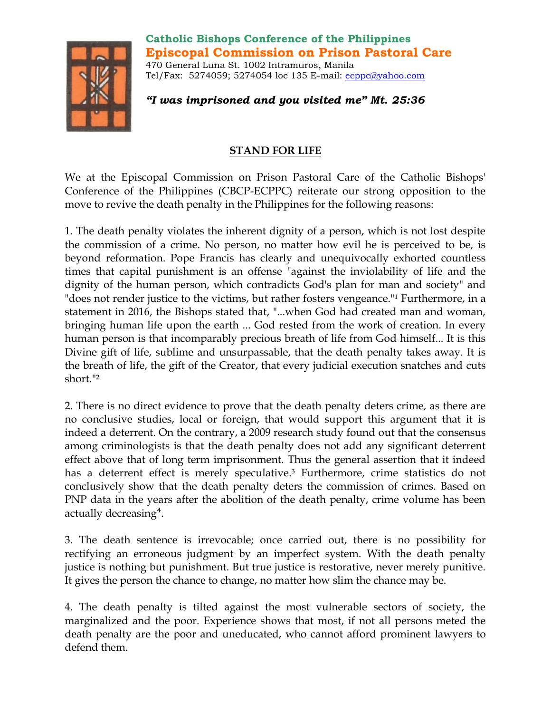

**Catholic Bishops Conference of the Philippines Episcopal Commission on Prison Pastoral Care** 470 General Luna St. 1002 Intramuros, Manila

Tel/Fax: 5274059; 5274054 loc 135 E-mail: ecppc@yahoo.com

*"I was imprisoned and you visited me" Mt. 25:36*

## **STAND FOR LIFE**

We at the Episcopal Commission on Prison Pastoral Care of the Catholic Bishops' Conference of the Philippines (CBCP-ECPPC) reiterate our strong opposition to the move to revive the death penalty in the Philippines for the following reasons:

1. The death penalty violates the inherent dignity of a person, which is not lost despite the commission of a crime. No person, no matter how evil he is perceived to be, is beyond reformation. Pope Francis has clearly and unequivocally exhorted countless times that capital punishment is an offense "against the inviolability of life and the dignity of the human person, which contradicts God's plan for man and society" and "does not render justice to the victims, but rather fosters vengeance." $\frac{1}{1}$  Furthermore, in a statement in 2016, the Bishops stated that, "...when God had created man and woman, bringing human life upon the earth ... God rested from the work of creation. In every human person is that incomparably precious breath of life from God himself... It is this Divine gift of life, sublime and unsurpassable, that the death penalty takes away. It is the breath of life, the gift of the Creator, that every judicial execution snatches and cuts short."²

2. There is no direct evidence to prove that the death penalty deters crime, as there are no conclusive studies, local or foreign, that would support this argument that it is indeed a deterrent. On the contrary, a 2009 research study found out that the consensus among criminologists is that the death penalty does not add any significant deterrent effect above that of long term imprisonment. Thus the general assertion that it indeed has a deterrent effect is merely speculative.<sup>3</sup> Furthermore, crime statistics do not conclusively show that the death penalty deters the commission of crimes. Based on PNP data in the years after the abolition of the death penalty, crime volume has been actually decreasing<sup>4</sup>.

3. The death sentence is irrevocable; once carried out, there is no possibility for rectifying an erroneous judgment by an imperfect system. With the death penalty justice is nothing but punishment. But true justice is restorative, never merely punitive. It gives the person the chance to change, no matter how slim the chance may be.

4. The death penalty is tilted against the most vulnerable sectors of society, the marginalized and the poor. Experience shows that most, if not all persons meted the death penalty are the poor and uneducated, who cannot afford prominent lawyers to defend them.